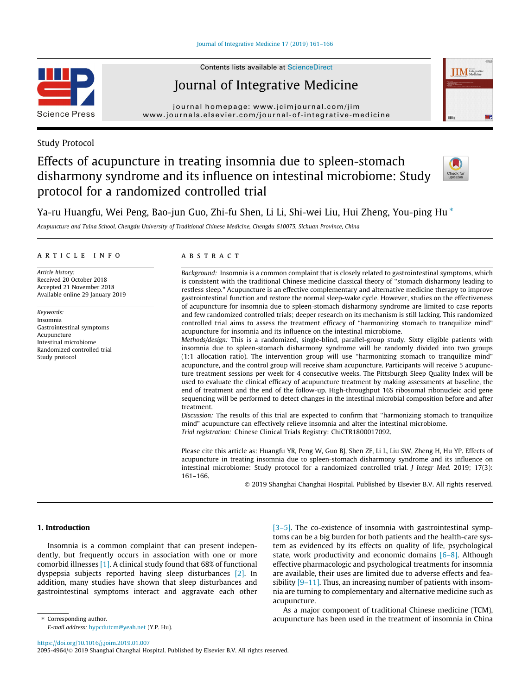# [Journal of Integrative Medicine 17 \(2019\) 161–166](https://doi.org/10.1016/j.joim.2019.01.007)



Contents lists available at [ScienceDirect](http://www.sciencedirect.com/science/journal/20954964)

# Journal of Integrative Medicine

journal homepage: [www.jcimjournal.com/jim](http://www.jcimjournal.com/jim) [www.journals.elsevier.com/journal-of-integrative-medicine](http://www.journals.elsevier.com/journal-of-integrative-medicine)

# Study Protocol

# Effects of acupuncture in treating insomnia due to spleen-stomach disharmony syndrome and its influence on intestinal microbiome: Study protocol for a randomized controlled trial



**IIM** Integrative

Ya-ru Huangfu, Wei Peng, Bao-jun Guo, Zhi-fu Shen, Li Li, Shi-wei Liu, Hui Zheng, You-ping Hu\*

Acupuncture and Tuina School, Chengdu University of Traditional Chinese Medicine, Chengdu 610075, Sichuan Province, China

# article info

Article history: Received 20 October 2018 Accepted 21 November 2018 Available online 29 January 2019

Keywords: Insomnia Gastrointestinal symptoms Acupuncture Intestinal microbiome Randomized controlled trial Study protocol

# **ABSTRACT**

Background: Insomnia is a common complaint that is closely related to gastrointestinal symptoms, which is consistent with the traditional Chinese medicine classical theory of ''stomach disharmony leading to restless sleep." Acupuncture is an effective complementary and alternative medicine therapy to improve gastrointestinal function and restore the normal sleep-wake cycle. However, studies on the effectiveness of acupuncture for insomnia due to spleen-stomach disharmony syndrome are limited to case reports and few randomized controlled trials; deeper research on its mechanism is still lacking. This randomized controlled trial aims to assess the treatment efficacy of ''harmonizing stomach to tranquilize mind" acupuncture for insomnia and its influence on the intestinal microbiome.

Methods/design: This is a randomized, single-blind, parallel-group study. Sixty eligible patients with insomnia due to spleen-stomach disharmony syndrome will be randomly divided into two groups (1:1 allocation ratio). The intervention group will use ''harmonizing stomach to tranquilize mind" acupuncture, and the control group will receive sham acupuncture. Participants will receive 5 acupuncture treatment sessions per week for 4 consecutive weeks. The Pittsburgh Sleep Quality Index will be used to evaluate the clinical efficacy of acupuncture treatment by making assessments at baseline, the end of treatment and the end of the follow-up. High-throughput 16S ribosomal ribonucleic acid gene sequencing will be performed to detect changes in the intestinal microbial composition before and after treatment.

Discussion: The results of this trial are expected to confirm that ''harmonizing stomach to tranquilize mind" acupuncture can effectively relieve insomnia and alter the intestinal microbiome. Trial registration: Chinese Clinical Trials Registry: ChiCTR1800017092.

Please cite this article as: Huangfu YR, Peng W, Guo BJ, Shen ZF, Li L, Liu SW, Zheng H, Hu YP. Effects of acupuncture in treating insomnia due to spleen-stomach disharmony syndrome and its influence on intestinal microbiome: Study protocol for a randomized controlled trial. J Integr Med. 2019; 17(3): 161–166.

2019 Shanghai Changhai Hospital. Published by Elsevier B.V. All rights reserved.

# 1. Introduction

Insomnia is a common complaint that can present independently, but frequently occurs in association with one or more comorbid illnesses [\[1\]](#page-5-0). A clinical study found that 68% of functional dyspepsia subjects reported having sleep disturbances [\[2\].](#page-5-0) In addition, many studies have shown that sleep disturbances and gastrointestinal symptoms interact and aggravate each other [\[3–5\].](#page-5-0) The co-existence of insomnia with gastrointestinal symptoms can be a big burden for both patients and the health-care system as evidenced by its effects on quality of life, psychological state, work productivity and economic domains  $[6-8]$ . Although effective pharmacologic and psychological treatments for insomnia are available, their uses are limited due to adverse effects and feasibility [\[9–11\]](#page-5-0). Thus, an increasing number of patients with insomnia are turning to complementary and alternative medicine such as acupuncture.

As a major component of traditional Chinese medicine (TCM), acupuncture has been used in the treatment of insomnia in China

E-mail address: [hypcdutcm@yeah.net](mailto:hypcdutcm@yeah.net) (Y.P. Hu).

<https://doi.org/10.1016/j.joim.2019.01.007>

⇑ Corresponding author.

2095-4964/© 2019 Shanghai Changhai Hospital. Published by Elsevier B.V. All rights reserved.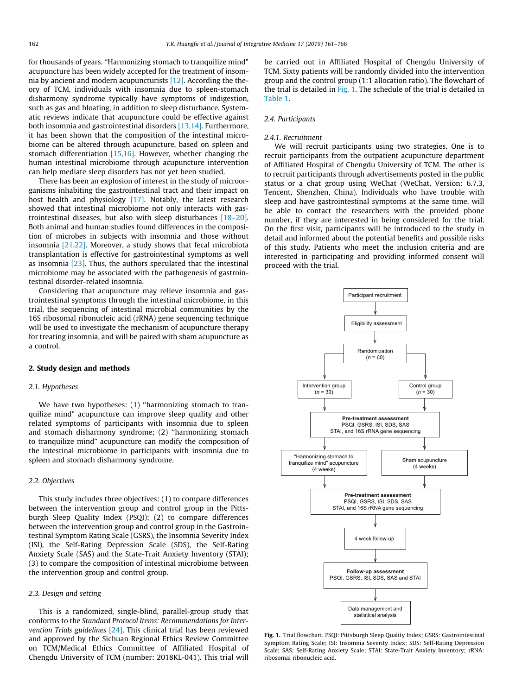<span id="page-1-0"></span>for thousands of years. ''Harmonizing stomach to tranquilize mind" acupuncture has been widely accepted for the treatment of insomnia by ancient and modern acupuncturists [\[12\].](#page-5-0) According the theory of TCM, individuals with insomnia due to spleen-stomach disharmony syndrome typically have symptoms of indigestion, such as gas and bloating, in addition to sleep disturbance. Systematic reviews indicate that acupuncture could be effective against both insomnia and gastrointestinal disorders [\[13,14\]](#page-5-0). Furthermore, it has been shown that the composition of the intestinal microbiome can be altered through acupuncture, based on spleen and stomach differentiation [\[15,16\]](#page-5-0). However, whether changing the human intestinal microbiome through acupuncture intervention can help mediate sleep disorders has not yet been studied.

There has been an explosion of interest in the study of microorganisms inhabiting the gastrointestinal tract and their impact on host health and physiology [\[17\]](#page-5-0). Notably, the latest research showed that intestinal microbiome not only interacts with gastrointestinal diseases, but also with sleep disturbances [\[18–20\].](#page-5-0) Both animal and human studies found differences in the composition of microbes in subjects with insomnia and those without insomnia [\[21,22\].](#page-5-0) Moreover, a study shows that fecal microbiota transplantation is effective for gastrointestinal symptoms as well as insomnia [\[23\].](#page-5-0) Thus, the authors speculated that the intestinal microbiome may be associated with the pathogenesis of gastrointestinal disorder-related insomnia.

Considering that acupuncture may relieve insomnia and gastrointestinal symptoms through the intestinal microbiome, in this trial, the sequencing of intestinal microbial communities by the 16S ribosomal ribonucleic acid (rRNA) gene sequencing technique will be used to investigate the mechanism of acupuncture therapy for treating insomnia, and will be paired with sham acupuncture as a control.

# 2. Study design and methods

#### 2.1. Hypotheses

We have two hypotheses: (1) "harmonizing stomach to tranquilize mind" acupuncture can improve sleep quality and other related symptoms of participants with insomnia due to spleen and stomach disharmony syndrome; (2) ''harmonizing stomach to tranquilize mind" acupuncture can modify the composition of the intestinal microbiome in participants with insomnia due to spleen and stomach disharmony syndrome.

# 2.2. Objectives

This study includes three objectives: (1) to compare differences between the intervention group and control group in the Pittsburgh Sleep Quality Index (PSQI); (2) to compare differences between the intervention group and control group in the Gastrointestinal Symptom Rating Scale (GSRS), the Insomnia Severity Index (ISI), the Self-Rating Depression Scale (SDS), the Self-Rating Anxiety Scale (SAS) and the State-Trait Anxiety Inventory (STAI); (3) to compare the composition of intestinal microbiome between the intervention group and control group.

#### 2.3. Design and setting

This is a randomized, single-blind, parallel-group study that conforms to the Standard Protocol Items: Recommendations for Intervention Trials guidelines [\[24\].](#page-5-0) This clinical trial has been reviewed and approved by the Sichuan Regional Ethics Review Committee on TCM/Medical Ethics Committee of Affiliated Hospital of Chengdu University of TCM (number: 2018KL-041). This trial will

be carried out in Affiliated Hospital of Chengdu University of TCM. Sixty patients will be randomly divided into the intervention group and the control group (1:1 allocation ratio). The flowchart of the trial is detailed in Fig. 1. The schedule of the trial is detailed in [Table 1](#page-2-0).

# 2.4. Participants

#### 2.4.1. Recruitment

We will recruit participants using two strategies. One is to recruit participants from the outpatient acupuncture department of Affiliated Hospital of Chengdu University of TCM. The other is to recruit participants through advertisements posted in the public status or a chat group using WeChat (WeChat, Version: 6.7.3, Tencent, Shenzhen, China). Individuals who have trouble with sleep and have gastrointestinal symptoms at the same time, will be able to contact the researchers with the provided phone number, if they are interested in being considered for the trial. On the first visit, participants will be introduced to the study in detail and informed about the potential benefits and possible risks of this study. Patients who meet the inclusion criteria and are interested in participating and providing informed consent will proceed with the trial.



Fig. 1. Trial flowchart. PSQI: Pittsburgh Sleep Quality Index; GSRS: Gastrointestinal Symptom Rating Scale; ISI: Insomnia Severity Index; SDS: Self-Rating Depression Scale; SAS: Self-Rating Anxiety Scale; STAI: State-Trait Anxiety Inventory; rRNA: ribosomal ribonucleic acid.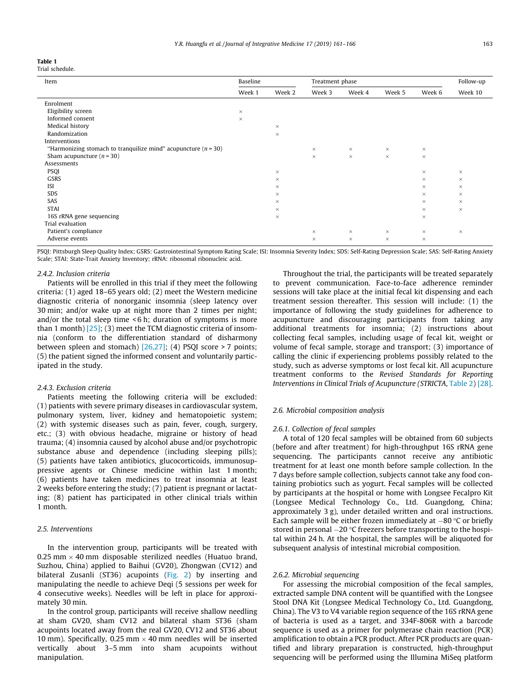<span id="page-2-0"></span>

| Table 1 |                |
|---------|----------------|
|         | Trial schedule |

| Item                                                               | Baseline |          | Treatment phase |          |          |          | Follow-up |
|--------------------------------------------------------------------|----------|----------|-----------------|----------|----------|----------|-----------|
|                                                                    | Week 1   | Week 2   | Week 3          | Week 4   | Week 5   | Week 6   | Week 10   |
| Enrolment                                                          |          |          |                 |          |          |          |           |
| Eligibility screen                                                 | $\times$ |          |                 |          |          |          |           |
| Informed consent                                                   | $\times$ |          |                 |          |          |          |           |
| Medical history                                                    |          | $\times$ |                 |          |          |          |           |
| Randomization                                                      |          | $\times$ |                 |          |          |          |           |
| Interventions                                                      |          |          |                 |          |          |          |           |
| "Harmonizing stomach to tranquilize mind" acupuncture ( $n = 30$ ) |          |          | $\times$        | $\times$ | $\times$ | $\times$ |           |
| Sham acupuncture $(n = 30)$                                        |          |          | $\times$        | $\times$ | $\times$ | $\times$ |           |
| Assessments                                                        |          |          |                 |          |          |          |           |
| <b>PSQI</b>                                                        |          | $\times$ |                 |          |          | $\times$ | $\times$  |
| GSRS                                                               |          | $\times$ |                 |          |          | $\times$ | $\times$  |
| ISI                                                                |          | $\times$ |                 |          |          | $\times$ | $\times$  |
| <b>SDS</b>                                                         |          | $\times$ |                 |          |          | $\times$ | $\times$  |
| SAS                                                                |          | $\times$ |                 |          |          | $\times$ | $\times$  |
| <b>STAI</b>                                                        |          | $\times$ |                 |          |          | $\times$ | $\times$  |
| 16S rRNA gene sequencing                                           |          | $\times$ |                 |          |          | $\times$ |           |
| Trial evaluation                                                   |          |          |                 |          |          |          |           |
| Patient's compliance                                               |          |          | $\times$        | $\times$ | $\times$ | $\times$ | $\times$  |
| Adverse events                                                     |          |          | $\times$        | $\times$ | $\times$ | $\times$ |           |

PSQI: Pittsburgh Sleep Quality Index; GSRS: Gastrointestinal Symptom Rating Scale; ISI: Insomnia Severity Index; SDS: Self-Rating Depression Scale; SAS: Self-Rating Anxiety Scale; STAI: State-Trait Anxiety Inventory; rRNA: ribosomal ribonucleic acid.

#### 242. Inclusion criteria

Patients will be enrolled in this trial if they meet the following criteria: (1) aged 18–65 years old; (2) meet the Western medicine diagnostic criteria of nonorganic insomnia (sleep latency over 30 min; and/or wake up at night more than 2 times per night; and/or the total sleep time < 6 h; duration of symptoms is more than 1 month)  $[25]$ ; (3) meet the TCM diagnostic criteria of insomnia (conform to the differentiation standard of disharmony between spleen and stomach) [\[26,27\];](#page-5-0) (4) PSQI score > 7 points; (5) the patient signed the informed consent and voluntarily participated in the study.

#### 2.4.3. Exclusion criteria

Patients meeting the following criteria will be excluded: (1) patients with severe primary diseases in cardiovascular system, pulmonary system, liver, kidney and hematopoietic system; (2) with systemic diseases such as pain, fever, cough, surgery, etc.; (3) with obvious headache, migraine or history of head trauma; (4) insomnia caused by alcohol abuse and/or psychotropic substance abuse and dependence (including sleeping pills); (5) patients have taken antibiotics, glucocorticoids, immunosuppressive agents or Chinese medicine within last 1 month; (6) patients have taken medicines to treat insomnia at least 2 weeks before entering the study; (7) patient is pregnant or lactating; (8) patient has participated in other clinical trials within 1 month.

# 2.5. Interventions

In the intervention group, participants will be treated with 0.25 mm  $\times$  40 mm disposable sterilized needles (Huatuo brand, Suzhou, China) applied to Baihui (GV20), Zhongwan (CV12) and bilateral Zusanli (ST36) acupoints ([Fig. 2\)](#page-3-0) by inserting and manipulating the needle to achieve Deqi (5 sessions per week for 4 consecutive weeks). Needles will be left in place for approximately 30 min.

In the control group, participants will receive shallow needling at sham GV20, sham CV12 and bilateral sham ST36 (sham acupoints located away from the real GV20, CV12 and ST36 about 10 mm). Specifically, 0.25 mm  $\times$  40 mm needles will be inserted vertically about 3–5 mm into sham acupoints without manipulation.

Throughout the trial, the participants will be treated separately to prevent communication. Face-to-face adherence reminder sessions will take place at the initial fecal kit dispensing and each treatment session thereafter. This session will include: (1) the importance of following the study guidelines for adherence to acupuncture and discouraging participants from taking any additional treatments for insomnia; (2) instructions about collecting fecal samples, including usage of fecal kit, weight or volume of fecal sample, storage and transport; (3) importance of calling the clinic if experiencing problems possibly related to the study, such as adverse symptoms or lost fecal kit. All acupuncture treatment conforms to the Revised Standards for Reporting Interventions in Clinical Trials of Acupuncture (STRICTA, [Table 2](#page-3-0)) [\[28\].](#page-5-0)

# 2.6. Microbial composition analysis

# 2.6.1. Collection of fecal samples

A total of 120 fecal samples will be obtained from 60 subjects (before and after treatment) for high-throughput 16S rRNA gene sequencing. The participants cannot receive any antibiotic treatment for at least one month before sample collection. In the 7 days before sample collection, subjects cannot take any food containing probiotics such as yogurt. Fecal samples will be collected by participants at the hospital or home with Longsee Fecalpro Kit (Longsee Medical Technology Co., Ltd. Guangdong, China; approximately 3 g), under detailed written and oral instructions. Each sample will be either frozen immediately at  $-80$  °C or briefly stored in personal  $-20$  °C freezers before transporting to the hospital within 24 h. At the hospital, the samples will be aliquoted for subsequent analysis of intestinal microbial composition.

#### 2.6.2. Microbial sequencing

For assessing the microbial composition of the fecal samples, extracted sample DNA content will be quantified with the Longsee Stool DNA Kit (Longsee Medical Technology Co., Ltd. Guangdong, China). The V3 to V4 variable region sequence of the 16S rRNA gene of bacteria is used as a target, and 334F-806R with a barcode sequence is used as a primer for polymerase chain reaction (PCR) amplification to obtain a PCR product. After PCR products are quantified and library preparation is constructed, high-throughput sequencing will be performed using the Illumina MiSeq platform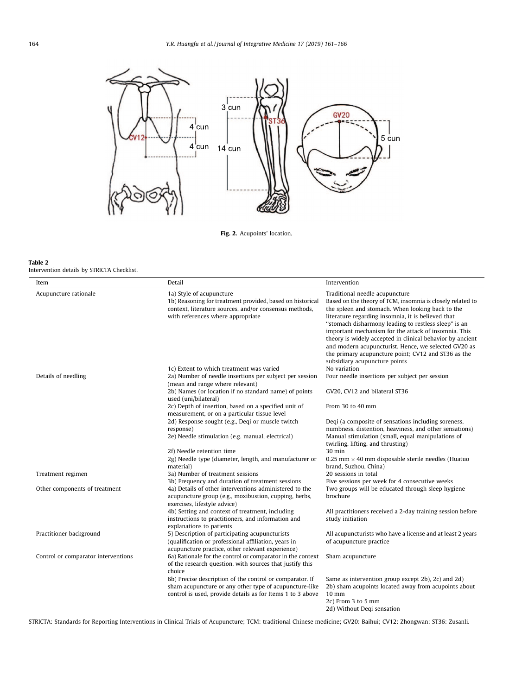<span id="page-3-0"></span>

Fig. 2. Acupoints' location.

#### Table 2

 $\overline{a}$ 

Intervention details by STRICTA Checklist.

| Item                                | Detail                                                                                                                                                                                              | Intervention                                                                                                                                                                                                                                                                                                                                                                                                                                                                                                                        |
|-------------------------------------|-----------------------------------------------------------------------------------------------------------------------------------------------------------------------------------------------------|-------------------------------------------------------------------------------------------------------------------------------------------------------------------------------------------------------------------------------------------------------------------------------------------------------------------------------------------------------------------------------------------------------------------------------------------------------------------------------------------------------------------------------------|
| Acupuncture rationale               | 1a) Style of acupuncture<br>1b) Reasoning for treatment provided, based on historical<br>context, literature sources, and/or consensus methods,<br>with references where appropriate                | Traditional needle acupuncture<br>Based on the theory of TCM, insomnia is closely related to<br>the spleen and stomach. When looking back to the<br>literature regarding insomnia, it is believed that<br>"stomach disharmony leading to restless sleep" is an<br>important mechanism for the attack of insomnia. This<br>theory is widely accepted in clinical behavior by ancient<br>and modern acupuncturist. Hence, we selected GV20 as<br>the primary acupuncture point; CV12 and ST36 as the<br>subsidiary acupuncture points |
|                                     | 1c) Extent to which treatment was varied                                                                                                                                                            | No variation                                                                                                                                                                                                                                                                                                                                                                                                                                                                                                                        |
| Details of needling                 | 2a) Number of needle insertions per subject per session<br>(mean and range where relevant)                                                                                                          | Four needle insertions per subject per session                                                                                                                                                                                                                                                                                                                                                                                                                                                                                      |
|                                     | 2b) Names (or location if no standard name) of points<br>used (uni/bilateral)                                                                                                                       | GV20, CV12 and bilateral ST36                                                                                                                                                                                                                                                                                                                                                                                                                                                                                                       |
|                                     | 2c) Depth of insertion, based on a specified unit of<br>measurement, or on a particular tissue level                                                                                                | From 30 to 40 mm                                                                                                                                                                                                                                                                                                                                                                                                                                                                                                                    |
|                                     | 2d) Response sought (e.g., Deqi or muscle twitch<br>response)<br>2e) Needle stimulation (e.g. manual, electrical)                                                                                   | Deqi (a composite of sensations including soreness,<br>numbness, distention, heaviness, and other sensations)<br>Manual stimulation (small, equal manipulations of<br>twirling, lifting, and thrusting)                                                                                                                                                                                                                                                                                                                             |
|                                     | 2f) Needle retention time                                                                                                                                                                           | 30 min                                                                                                                                                                                                                                                                                                                                                                                                                                                                                                                              |
|                                     | 2g) Needle type (diameter, length, and manufacturer or<br>material)                                                                                                                                 | 0.25 mm $\times$ 40 mm disposable sterile needles (Huatuo<br>brand, Suzhou, China)                                                                                                                                                                                                                                                                                                                                                                                                                                                  |
| Treatment regimen                   | 3a) Number of treatment sessions                                                                                                                                                                    | 20 sessions in total                                                                                                                                                                                                                                                                                                                                                                                                                                                                                                                |
| Other components of treatment       | 3b) Frequency and duration of treatment sessions<br>4a) Details of other interventions administered to the<br>acupuncture group (e.g., moxibustion, cupping, herbs,<br>exercises, lifestyle advice) | Five sessions per week for 4 consecutive weeks<br>Two groups will be educated through sleep hygiene<br>brochure                                                                                                                                                                                                                                                                                                                                                                                                                     |
|                                     | 4b) Setting and context of treatment, including<br>instructions to practitioners, and information and<br>explanations to patients                                                                   | All practitioners received a 2-day training session before<br>study initiation                                                                                                                                                                                                                                                                                                                                                                                                                                                      |
| Practitioner background             | 5) Description of participating acupuncturists<br>(qualification or professional affiliation, years in<br>acupuncture practice, other relevant experience)                                          | All acupuncturists who have a license and at least 2 years<br>of acupuncture practice                                                                                                                                                                                                                                                                                                                                                                                                                                               |
| Control or comparator interventions | 6a) Rationale for the control or comparator in the context<br>of the research question, with sources that justify this<br>choice                                                                    | Sham acupuncture                                                                                                                                                                                                                                                                                                                                                                                                                                                                                                                    |
|                                     | 6b) Precise description of the control or comparator. If<br>sham acupuncture or any other type of acupuncture-like<br>control is used, provide details as for Items 1 to 3 above                    | Same as intervention group except 2b), 2c) and 2d)<br>2b) sham acupoints located away from acupoints about<br>$10 \text{ mm}$<br>2c) From 3 to 5 mm<br>2d) Without Degi sensation                                                                                                                                                                                                                                                                                                                                                   |

STRICTA: Standards for Reporting Interventions in Clinical Trials of Acupuncture; TCM: traditional Chinese medicine; GV20: Baihui; CV12: Zhongwan; ST36: Zusanli.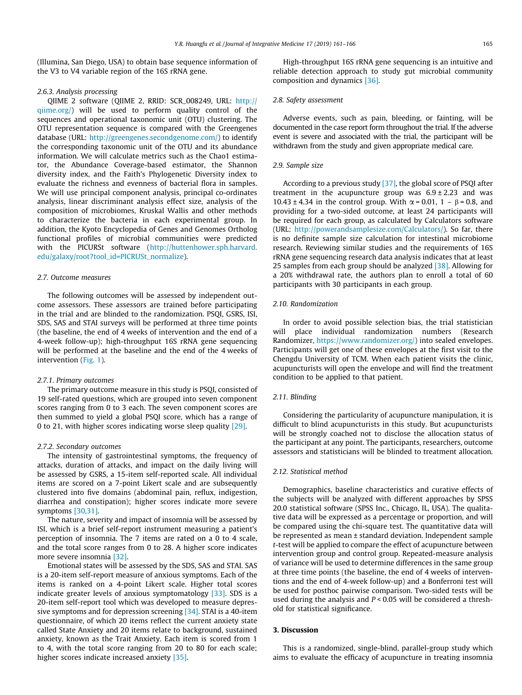(Illumina, San Diego, USA) to obtain base sequence information of the V3 to V4 variable region of the 16S rRNA gene.

#### 2.6.3. Analysis processing

QIIME 2 software (QIIME 2, RRID: SCR\_008249, URL: [http://](http://qiime.org/) [qiime.org/](http://qiime.org/)) will be used to perform quality control of the sequences and operational taxonomic unit (OTU) clustering. The OTU representation sequence is compared with the Greengenes database (URL: <http://greengenes.secondgenome.com/>) to identify the corresponding taxonomic unit of the OTU and its abundance information. We will calculate metrics such as the Chao1 estimator, the Abundance Coverage-based estimator, the Shannon diversity index, and the Faith's Phylogenetic Diversity index to evaluate the richness and evenness of bacterial flora in samples. We will use principal component analysis, principal co-ordinates analysis, linear discriminant analysis effect size, analysis of the composition of microbiomes, Kruskal Wallis and other methods to characterize the bacteria in each experimental group. In addition, the Kyoto Encyclopedia of Genes and Genomes Ortholog functional profiles of microbial communities were predicted with the PICURSt software [\(http://huttenhower.sph.harvard.](http://huttenhower.sph.harvard.edu/galaxy/root?tool_id=PICRUSt_normalize) [edu/galaxy/root?tool\\_id=PICRUSt\\_normalize\)](http://huttenhower.sph.harvard.edu/galaxy/root?tool_id=PICRUSt_normalize).

#### 2.7. Outcome measures

The following outcomes will be assessed by independent outcome assessors. These assessors are trained before participating in the trial and are blinded to the randomization. PSQI, GSRS, ISI, SDS, SAS and STAI surveys will be performed at three time points (the baseline, the end of 4 weeks of intervention and the end of a 4-week follow-up); high-throughput 16S rRNA gene sequencing will be performed at the baseline and the end of the 4 weeks of intervention ([Fig. 1](#page-1-0)).

# 2.7.1. Primary outcomes

The primary outcome measure in this study is PSQI, consisted of 19 self-rated questions, which are grouped into seven component scores ranging from 0 to 3 each. The seven component scores are then summed to yield a global PSQI score, which has a range of 0 to 21, with higher scores indicating worse sleep quality [\[29\]](#page-5-0).

# 2.7.2. Secondary outcomes

The intensity of gastrointestinal symptoms, the frequency of attacks, duration of attacks, and impact on the daily living will be assessed by GSRS, a 15-item self-reported scale. All individual items are scored on a 7-point Likert scale and are subsequently clustered into five domains (abdominal pain, reflux, indigestion, diarrhea and constipation); higher scores indicate more severe symptoms [\[30,31\]](#page-5-0).

The nature, severity and impact of insomnia will be assessed by ISI, which is a brief self-report instrument measuring a patient's perception of insomnia. The 7 items are rated on a 0 to 4 scale, and the total score ranges from 0 to 28. A higher score indicates more severe insomnia [\[32\].](#page-5-0)

Emotional states will be assessed by the SDS, SAS and STAI. SAS is a 20-item self-report measure of anxious symptoms. Each of the items is ranked on a 4-point Likert scale. Higher total scores indicate greater levels of anxious symptomatology [\[33\].](#page-5-0) SDS is a 20-item self-report tool which was developed to measure depressive symptoms and for depression screening [\[34\]](#page-5-0). STAI is a 40-item questionnaire, of which 20 items reflect the current anxiety state called State Anxiety and 20 items relate to background, sustained anxiety, known as the Trait Anxiety. Each item is scored from 1 to 4, with the total score ranging from 20 to 80 for each scale; higher scores indicate increased anxiety [\[35\]](#page-5-0).

High-throughput 16S rRNA gene sequencing is an intuitive and reliable detection approach to study gut microbial community composition and dynamics [\[36\].](#page-5-0)

## 2.8. Safety assessment

Adverse events, such as pain, bleeding, or fainting, will be documented in the case report form throughout the trial. If the adverse event is severe and associated with the trial, the participant will be withdrawn from the study and given appropriate medical care.

# 2.9. Sample size

According to a previous study [\[37\],](#page-5-0) the global score of PSQI after treatment in the acupuncture group was  $6.9 \pm 2.23$  and was 10.43 ± 4.34 in the control group. With  $\alpha$  = 0.01, 1 –  $\beta$  = 0.8, and providing for a two-sided outcome, at least 24 participants will be required for each group, as calculated by Calculators software (URL: [http://powerandsamplesize.com/Calculators/\)](http://powerandsamplesize.com/Calculators/). So far, there is no definite sample size calculation for intestinal microbiome research. Reviewing similar studies and the requirements of 16S rRNA gene sequencing research data analysis indicates that at least 25 samples from each group should be analyzed [\[38\].](#page-5-0) Allowing for a 20% withdrawal rate, the authors plan to enroll a total of 60 participants with 30 participants in each group.

## 2.10. Randomization

In order to avoid possible selection bias, the trial statistician will place individual randomization numbers (Research Randomizer, <https://www.randomizer.org/>) into sealed envelopes. Participants will get one of these envelopes at the first visit to the Chengdu University of TCM. When each patient visits the clinic, acupuncturists will open the envelope and will find the treatment condition to be applied to that patient.

# 2.11. Blinding

Considering the particularity of acupuncture manipulation, it is difficult to blind acupuncturists in this study. But acupuncturists will be strongly coached not to disclose the allocation status of the participant at any point. The participants, researchers, outcome assessors and statisticians will be blinded to treatment allocation.

#### 2.12. Statistical method

Demographics, baseline characteristics and curative effects of the subjects will be analyzed with different approaches by SPSS 20.0 statistical software (SPSS Inc., Chicago, IL, USA). The qualitative data will be expressed as a percentage or proportion, and will be compared using the chi-square test. The quantitative data will be represented as mean ± standard deviation. Independent sample t-test will be applied to compare the effect of acupuncture between intervention group and control group. Repeated-measure analysis of variance will be used to determine differences in the same group at three time points (the baseline, the end of 4 weeks of interventions and the end of 4-week follow-up) and a Bonferroni test will be used for posthoc pairwise comparison. Two-sided tests will be used during the analysis and  $P < 0.05$  will be considered a threshold for statistical significance.

# 3. Discussion

This is a randomized, single-blind, parallel-group study which aims to evaluate the efficacy of acupuncture in treating insomnia